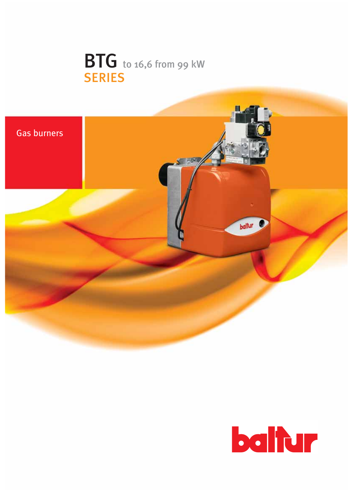



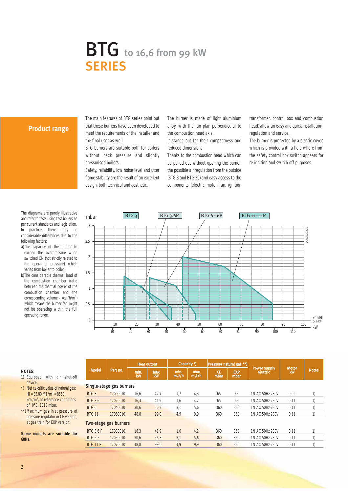# **BTG** to 16,6 from 99 kW **SERIES**

#### **Product range**

The main features of BTG series point out that these burners have been developed to meet the requirements of the installer and the final user as well.

BTG burners are suitable both for boilers without back pressure and slightly pressurised boilers.

Safety, reliability, low noise level and utter flame stability are the result of an excellent design, both technical and aesthetic.

The burner is made of light aluminium alloy, with the fan plan perpendicular to the combustion head axis.

It stands out for their compactness and reduced dimensions.

Thanks to the combustion head which can be pulled out without opening the burner, the possible air regulation from the outside (BTG 3 and BTG 20) and easy access to the components (electric motor, fan, ignition

transformer, control box and combustion head) allow an easy and quick installation, regulation and service.

The burner is protected by a plastic cover, which is provided with a hole where from the safety control box switch appears for re-ignition and switch-off purposes.

The diagrams are purely illustrative and refer to tests using test boilers as per current standards and legislation. In practice, there may be considerable differences due to the following factors:

- a)The capacity of the burner to exceed the overpressure when switched ON (not strictly related to the operating pressure) which varies from boiler to boiler.
- b)The considerable thermal load of the combustion chamber (ratio between the thermal power of the combustion chamber and the corresponding volume - kcal/h/m3) which means the burner fan might not be operating within the full operating range.



#### **NOTES:**

- 1) Equipped with air shut-off device.
- \*) Net calorific value of natural gas:  $Hi = 35,80 MJ/m<sup>3</sup> = 8550$ kcal/m3, at reference conditions of 0°C, 1013 mbar.
- \*\*) Maximum gas inlet pressure at pressure regulator in CE version, at gas train for EXP version.

**Same models are suitable for 60Hz.**

| <b>Model</b>     | Part no.                 | <b>Heat output</b> |           | Capacity *)       |                  | <b>Pressure natural gas **)</b> |                    |                                 | <b>Motor</b> |              |  |
|------------------|--------------------------|--------------------|-----------|-------------------|------------------|---------------------------------|--------------------|---------------------------------|--------------|--------------|--|
|                  |                          | min.<br><b>kW</b>  | max<br>kW | min.<br>$m_n^3/h$ | max<br>$m_n^3/h$ | <b>CE</b><br>mbar               | <b>EXP</b><br>mbar | <b>Power supply</b><br>electric | kw           | <b>Notes</b> |  |
|                  | Single-stage gas burners |                    |           |                   |                  |                                 |                    |                                 |              |              |  |
| BTG <sub>3</sub> | 17000010                 | 16.6               | 42.7      | 1.7               | 4,3              | 65                              | 65                 | 1N AC 50Hz 230V                 | 0.09         | 1)           |  |
| <b>BTG 3.6</b>   | 17020010                 | 16,3               | 41.9      | 1,6               | 4,2              | 65                              | 65                 | 1N AC 50Hz 230V                 | 0.11         | 1)           |  |
| BTG 6            | 17040010                 | 30,6               | 56,3      | 3,1               | 5,6              | 360                             | 360                | 1N AC 50Hz 230V                 | 0.11         |              |  |
| <b>BTG 11</b>    | 17060010                 | 48.8               | 99.0      | 4,9               | 9,9              | 360                             | 360                | 1N AC 50Hz 230V                 | 0.11         | 1)           |  |
|                  | Two-stage gas burners    |                    |           |                   |                  |                                 |                    |                                 |              |              |  |
| <b>BTG 3.6 P</b> | 17030010                 | 16.3               | 41.9      | 1.6               | 4,2              | 360                             | 360                | 1N AC 50Hz 230V                 | 0.11         | 1)           |  |
| BTG 6 P          | 17050010                 | 30,6               | 56.3      | 3,1               | 5,6              | 360                             | 360                | 1N AC 50Hz 230V                 | 0.11         | 1)           |  |
| <b>BTG 11 P</b>  | 17070010                 | 48,8               | 99.0      | 4,9               | 9,9              | 360                             | 360                | 1N AC 50Hz 230V                 | 0.11         | 1)           |  |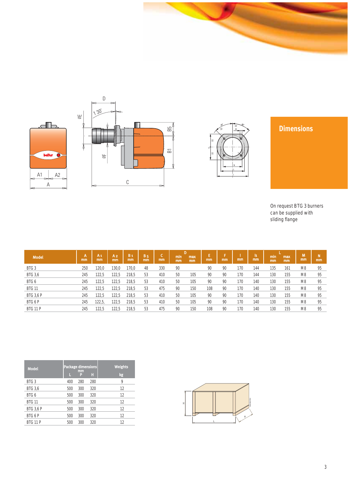







## **Dimensions**

On request BTG 3 burners can be supplied with sliding flange

| <b>Model</b>     | А<br>mm | A <sub>1</sub><br>mm | A <sub>2</sub><br>mm | B <sub>1</sub><br>mm | <b>B5</b><br>mm | ÷<br>◡<br>mm | min<br>mm | max<br>mm | mm  | mm | mm  | 'n.<br>mm | min<br>mm | max<br>mm | M<br><sub>mm</sub> | mm |
|------------------|---------|----------------------|----------------------|----------------------|-----------------|--------------|-----------|-----------|-----|----|-----|-----------|-----------|-----------|--------------------|----|
| BTG <sub>3</sub> | 250     | 120,0                | 130.0                | 170,0                | 48              | 330          | 90        |           | 90  | 90 | 170 | 144       | 135       | 161       | M <sub>8</sub>     | 95 |
| <b>BTG 3,6</b>   | 245     | 122,5                | 122,5                | 218,5                | 53              | 410          | 50        | 105       | 90  | 90 | 170 | 144       | 130       | 155       | M <sub>8</sub>     | 95 |
| BTG 6            | 245     | 122,5                | 122,5                | 218,5                | 53              | 410          | 50        | 105       | 90  | 90 | 170 | 140       | 130       | 155       | M <sub>8</sub>     | 95 |
| <b>BTG 11</b>    | 245     | 122,5                | 122,5                | 218,5                | 53              | 475          | 90        | 150       | 108 | 90 | 170 | 140       | 130       | 155       | M <sub>8</sub>     | 95 |
| <b>BTG 3,6 P</b> | 245     | 122,5                | 122,5                | 218,5                | 53              | 410          | 50        | 105       | 90  | 90 | 170 | 140       | 130       | 155       | M <sub>8</sub>     | 95 |
| BTG 6 P          | 245     | 122,5,               | 122,5                | 218,5                | 53              | 410          | 50        | 105       | 90  | 90 | 170 | 140       | 130       | 155       | M <sub>8</sub>     | 95 |
| <b>BTG 11 P</b>  | 245     | 122,5                | 122,5                | 218,5                | 53              | 475          | 90        | 150       | 108 | 90 | 170 | 140       | 130       | 155       | M <sub>8</sub>     | 95 |

| <b>Model</b>     | μ   | <b>Package dimensions</b><br>mm<br>E | Π   | <b>Weights</b><br>kg |  |  |  |
|------------------|-----|--------------------------------------|-----|----------------------|--|--|--|
| BTG <sub>3</sub> | 400 | 280                                  | 280 | 9                    |  |  |  |
| <b>BTG 3,6</b>   | 500 | 300                                  | 320 | 12                   |  |  |  |
| BTG 6            | 500 | 300                                  | 320 | 12                   |  |  |  |
| <b>BTG 11</b>    | 500 | 300                                  | 320 | 12                   |  |  |  |
| <b>BTG 3.6 P</b> | 500 | 300                                  | 320 | 12                   |  |  |  |
| BTG 6 P          | 500 | 300                                  | 320 | 12                   |  |  |  |
| <b>BTG 11 P</b>  | 500 | 300                                  | 320 | 12                   |  |  |  |

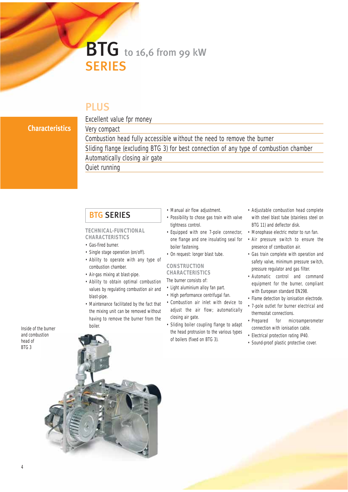# BTG to 16,6 from 99 kW **SERIES**

## PLUS

### **Characteristics**

Excellent value fpr money Very compact Combustion head fully accessible without the need to remove the burner Sliding flange (excluding BTG 3) for best connection of any type of combustion chamber Automatically closing air gate Quiet running

## BTG SERIES

#### **TECHNICAL-FUNCTIONAL CHARACTERISTICS**

- Gas-fired burner.
- Single stage operation (on/off).
- Ability to operate with any type of combustion chamber.
- Air-gas mixing at blast-pipe.
- Ability to obtain optimal combustion values by regulating combustion air and blast-pipe.
- Maintenance facilitated by the fact that the mixing unit can be removed without having to remove the burner from the boiler.
- Manual air flow adjustment.
- Possibility to chose gas train with valve tightness control.
- Equipped with one 7-pole connector, one flange and one insulating seal for boiler fastening.
- On request: longer blast tube.

### **CONSTRUCTION CHARACTERISTICS**

The burner consists of:

- Light aluminium alloy fan part.
- High performance centrifugal fan.
- Combustion air inlet with device to adjust the air flow; automatically closing air gate.
- Sliding boiler coupling flange to adapt the head protrusion to the various types of boilers (fixed on BTG 3).
- Adjustable combustion head complete with steel blast tube (stainless steel on BTG 11) and deflector disk.
- Monophase electric motor to run fan.
- Air pressure switch to ensure the presence of combustion air.
- Gas train complete with operation and safety valve, minimum pressure switch, pressure regulator and gas filter.
- Automatic control and command equipment for the burner, compliant with European standard EN298.
- Flame detection by ionisation electrode.
- 7-pole outlet for burner electrical and thermostat connections.
- Prepared for microamperometer connection with ionisation cable.
- Electrical protection rating IP40.
- Sound-proof plastic protective cover.

Inside of the burner and combustion head of BTG 3

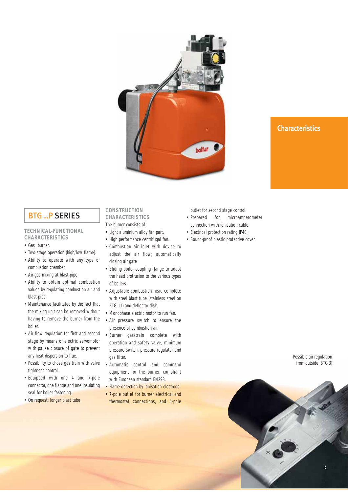

## **Characteristics**

## BTG ..P SERIES

#### **TECHNICAL-FUNCTIONAL CHARACTERISTICS**

- Gas burner.
- Two-stage operation (high/low flame).
- Ability to operate with any type of combustion chamber.
- Air-gas mixing at blast-pipe.
- Ability to obtain optimal combustion values by regulating combustion air and blast-pipe.
- Maintenance facilitated by the fact that the mixing unit can be removed without having to remove the burner from the boiler.
- Air flow regulation for first and second stage by means of electric servomotor with pause closure of gate to prevent any heat dispersion to flue.
- Possibility to chose gas train with valve tightness control.
- Equipped with one 4 and 7-pole connector, one flange and one insulating seal for boiler fastening.
- On request: longer blast tube.

#### **CONSTRUCTION CHARACTERISTICS**

- The burner consists of:
- Light aluminium alloy fan part.
- High performance centrifugal fan.
- Combustion air inlet with device to adiust the air flow: automatically closing air gate
- Sliding boiler coupling flange to adapt the head protrusion to the various types of boilers.
- Adjustable combustion head complete with steel blast tube (stainless steel on BTG 11) and deflector disk.
- Monophase electric motor to run fan.
- Air pressure switch to ensure the presence of combustion air.
- Burner gas/train complete with operation and safety valve, minimum pressure switch, pressure regulator and gas filter.
- Automatic control and command equipment for the burner, compliant with European standard EN298.
- Flame detection by ionisation electrode.
- 7-pole outlet for burner electrical and thermostat connections, and 4-pole

outlet for second stage control.

- Prepared for microamperometer connection with ionisation cable.
- Electrical protection rating IP40.
- Sound-proof plastic protective cover.

Possible air regulation from outside (BTG 3)

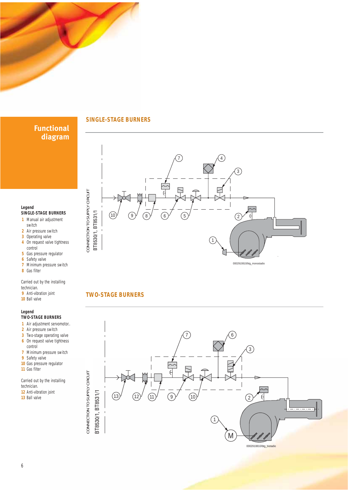

## **Functional diagram**

 Manual air adjustment switch Air pressure switch Operating valve On request valve tightness

**SINGLE-STAGE BURNERS**

**7** Minimum pressure switch

Carried out by the installing

 Air adjustment servomotor.. Air pressure switch Two-stage operating valve On request valve tightness

**TWO-STAGE BURNERS**

**7** Minimum pressure switch

Carried out by the installing

control **5** Gas pressure regulator **6** Safety valve

**Legend**

**8** Gas filter

technician. **9** Anti-vibration joint **10** Ball valve

**Legend**

control

**9** Safety valve **10** Gas pressure regulator

**11** Gas filter

technician. **12** Anti-vibration joint **13** Ball valve

#### **SINGLE-STAGE BURNERS**



## **TWO-STAGE BURNERS**

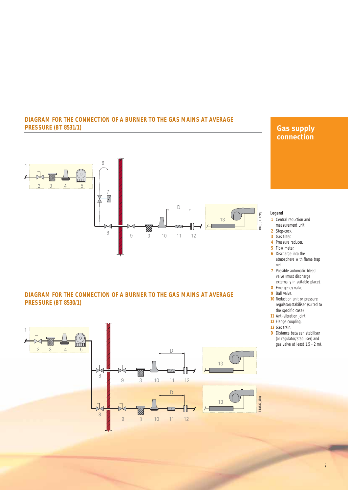#### **DIAGRAM FOR THE CONNECTION OF A BURNER TO THE GAS MAINS AT AVERAGE PRESSURE (BT 8531/1)**



## **Gas supply connection**

#### **Legend**

- **1** Central reduction and measurement unit.
- 
- **2** Stop-cock. **3** Gas filter.
- **4** Pressure reducer.
- **5** Flow meter.
- **6** Discharge into the atmosphere with flame trap
- net. **7** Possible automatic bleed valve (must discharge
- externally in suitable place). **8** Emergency valve.
- **9** Ball valve.
- **10** Reduction unit or pressure regulator/stabiliser (suited to the specific case).
- **11** Anti-vibration joint.
- **12** Flange coupling.
- **13** Gas train.
- **D** Distance between stabiliser (or regulator/stabiliser) and gas valve at least 1,5 - 2 m).



1